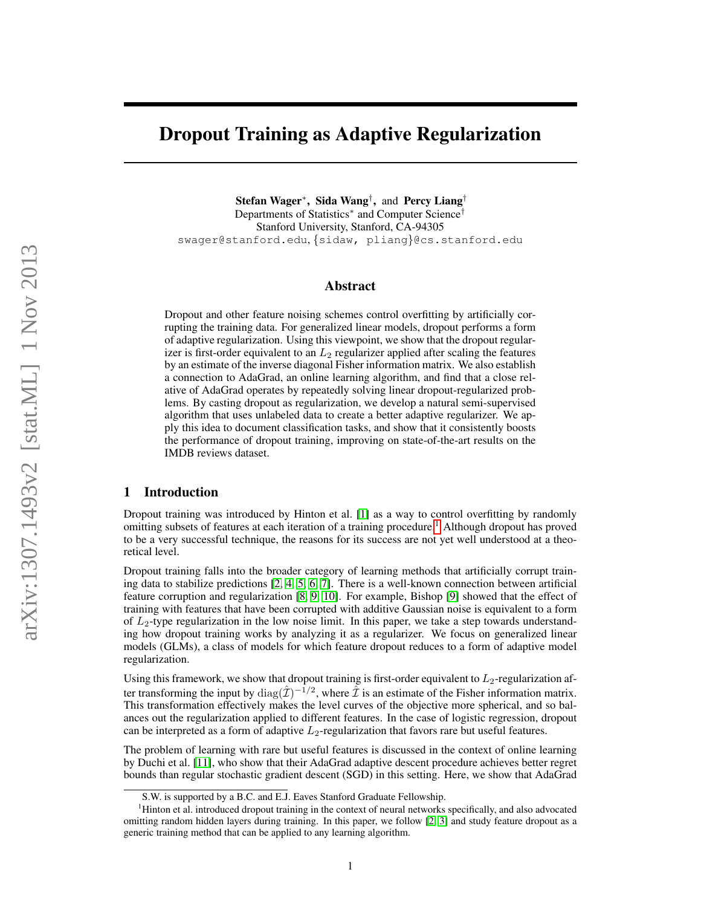# Dropout Training as Adaptive Regularization

Stefan Wager<sup>∗</sup> , Sida Wang† , and Percy Liang† Departments of Statistics<sup>\*</sup> and Computer Science<sup>†</sup> Stanford University, Stanford, CA-94305 swager@stanford.edu, {sidaw, pliang}@cs.stanford.edu

## Abstract

Dropout and other feature noising schemes control overfitting by artificially corrupting the training data. For generalized linear models, dropout performs a form of adaptive regularization. Using this viewpoint, we show that the dropout regularizer is first-order equivalent to an  $L_2$  regularizer applied after scaling the features by an estimate of the inverse diagonal Fisher information matrix. We also establish a connection to AdaGrad, an online learning algorithm, and find that a close relative of AdaGrad operates by repeatedly solving linear dropout-regularized problems. By casting dropout as regularization, we develop a natural semi-supervised algorithm that uses unlabeled data to create a better adaptive regularizer. We apply this idea to document classification tasks, and show that it consistently boosts the performance of dropout training, improving on state-of-the-art results on the IMDB reviews dataset.

## 1 Introduction

Dropout training was introduced by Hinton et al. [\[1\]](#page-8-0) as a way to control overfitting by randomly omitting subsets of features at each iteration of a training procedure.[1](#page-0-0) Although dropout has proved to be a very successful technique, the reasons for its success are not yet well understood at a theoretical level.

Dropout training falls into the broader category of learning methods that artificially corrupt training data to stabilize predictions [\[2,](#page-8-1) [4,](#page-8-2) [5,](#page-8-3) [6,](#page-8-4) [7\]](#page-8-5). There is a well-known connection between artificial feature corruption and regularization [\[8,](#page-8-6) [9,](#page-8-7) [10\]](#page-8-8). For example, Bishop [\[9\]](#page-8-7) showed that the effect of training with features that have been corrupted with additive Gaussian noise is equivalent to a form of  $L_2$ -type regularization in the low noise limit. In this paper, we take a step towards understanding how dropout training works by analyzing it as a regularizer. We focus on generalized linear models (GLMs), a class of models for which feature dropout reduces to a form of adaptive model regularization.

Using this framework, we show that dropout training is first-order equivalent to  $L_2$ -regularization after transforming the input by  $diag(\hat{\mathcal{I}})^{-1/2}$ , where  $\hat{\mathcal{I}}$  is an estimate of the Fisher information matrix. This transformation effectively makes the level curves of the objective more spherical, and so balances out the regularization applied to different features. In the case of logistic regression, dropout can be interpreted as a form of adaptive  $L_2$ -regularization that favors rare but useful features.

The problem of learning with rare but useful features is discussed in the context of online learning by Duchi et al. [\[11\]](#page-8-9), who show that their AdaGrad adaptive descent procedure achieves better regret bounds than regular stochastic gradient descent (SGD) in this setting. Here, we show that AdaGrad

<span id="page-0-0"></span>S.W. is supported by a B.C. and E.J. Eaves Stanford Graduate Fellowship.

<sup>&</sup>lt;sup>1</sup>Hinton et al. introduced dropout training in the context of neural networks specifically, and also advocated omitting random hidden layers during training. In this paper, we follow [\[2,](#page-8-1) [3\]](#page-8-10) and study feature dropout as a generic training method that can be applied to any learning algorithm.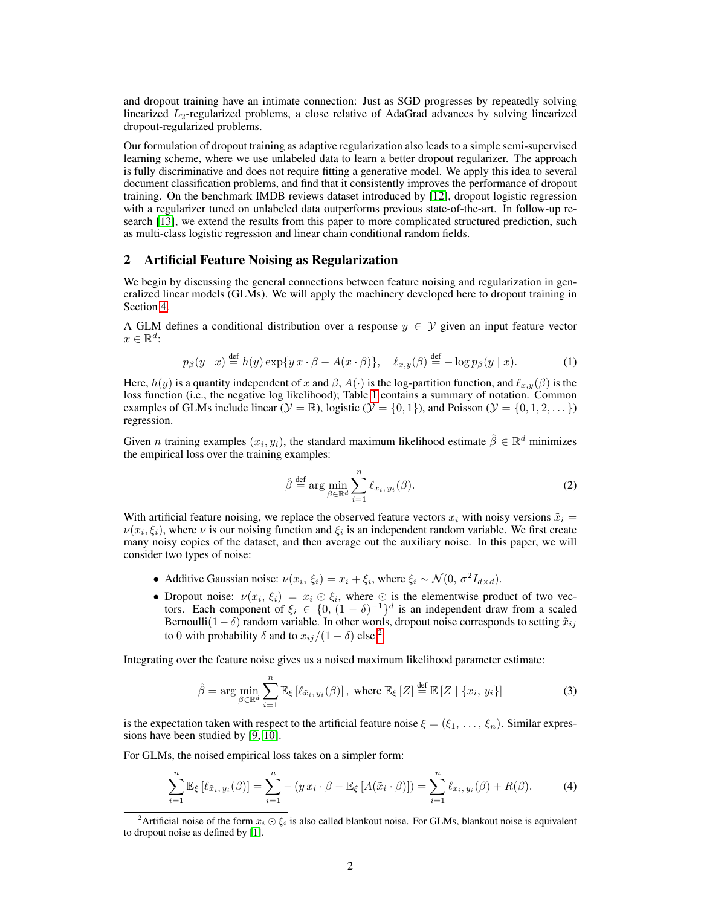and dropout training have an intimate connection: Just as SGD progresses by repeatedly solving linearized  $L_2$ -regularized problems, a close relative of AdaGrad advances by solving linearized dropout-regularized problems.

Our formulation of dropout training as adaptive regularization also leads to a simple semi-supervised learning scheme, where we use unlabeled data to learn a better dropout regularizer. The approach is fully discriminative and does not require fitting a generative model. We apply this idea to several document classification problems, and find that it consistently improves the performance of dropout training. On the benchmark IMDB reviews dataset introduced by [\[12\]](#page-8-11), dropout logistic regression with a regularizer tuned on unlabeled data outperforms previous state-of-the-art. In follow-up research [\[13\]](#page-8-12), we extend the results from this paper to more complicated structured prediction, such as multi-class logistic regression and linear chain conditional random fields.

## 2 Artificial Feature Noising as Regularization

We begin by discussing the general connections between feature noising and regularization in generalized linear models (GLMs). We will apply the machinery developed here to dropout training in Section [4.](#page-4-0)

A GLM defines a conditional distribution over a response  $y \in Y$  given an input feature vector  $x \in \mathbb{R}^d$ :

$$
p_{\beta}(y \mid x) \stackrel{\text{def}}{=} h(y) \exp\{yx \cdot \beta - A(x \cdot \beta)\}, \quad \ell_{x,y}(\beta) \stackrel{\text{def}}{=} -\log p_{\beta}(y \mid x). \tag{1}
$$

Here,  $h(y)$  is a quantity independent of x and  $\beta$ ,  $A(\cdot)$  is the log-partition function, and  $\ell_{x,y}(\beta)$  is the loss function (i.e., the negative log likelihood); Table [1](#page-2-0) contains a summary of notation. Common examples of GLMs include linear  $(\mathcal{Y} = \mathbb{R})$ , logistic  $(\mathcal{Y} = \{0, 1\})$ , and Poisson  $(\mathcal{Y} = \{0, 1, 2, \dots\})$ regression.

Given *n* training examples  $(x_i, y_i)$ , the standard maximum likelihood estimate  $\hat{\beta} \in \mathbb{R}^d$  minimizes the empirical loss over the training examples:

$$
\hat{\beta} \stackrel{\text{def}}{=} \arg \min_{\beta \in \mathbb{R}^d} \sum_{i=1}^n \ell_{x_i, y_i}(\beta). \tag{2}
$$

With artificial feature noising, we replace the observed feature vectors  $x_i$  with noisy versions  $\tilde{x}_i$  =  $\nu(x_i, \xi_i)$ , where  $\nu$  is our noising function and  $\xi_i$  is an independent random variable. We first create many noisy copies of the dataset, and then average out the auxiliary noise. In this paper, we will consider two types of noise:

- Additive Gaussian noise:  $\nu(x_i, \xi_i) = x_i + \xi_i$ , where  $\xi_i \sim \mathcal{N}(0, \sigma^2 I_{d \times d})$ .
- Dropout noise:  $\nu(x_i, \xi_i) = x_i \odot \xi_i$ , where  $\odot$  is the elementwise product of two vectors. Each component of  $\xi_i \in \{0, (1 - \delta)^{-1}\}^d$  is an independent draw from a scaled Bernoulli(1 –  $\delta$ ) random variable. In other words, dropout noise corresponds to setting  $\tilde{x}_{ij}$ to 0 with probability  $\delta$  and to  $x_{ij}/(1 - \delta)$  else.<sup>[2](#page-1-0)</sup>

Integrating over the feature noise gives us a noised maximum likelihood parameter estimate:

$$
\hat{\beta} = \arg \min_{\beta \in \mathbb{R}^d} \sum_{i=1}^n \mathbb{E}_{\xi} \left[ \ell_{\tilde{x}_i, y_i}(\beta) \right], \text{ where } \mathbb{E}_{\xi} \left[ Z \right] \stackrel{\text{def}}{=} \mathbb{E} \left[ Z \mid \{ x_i, y_i \} \right] \tag{3}
$$

is the expectation taken with respect to the artificial feature noise  $\xi = (\xi_1, \dots, \xi_n)$ . Similar expressions have been studied by [\[9,](#page-8-7) [10\]](#page-8-8).

For GLMs, the noised empirical loss takes on a simpler form:

$$
\sum_{i=1}^{n} \mathbb{E}_{\xi} \left[ \ell_{\tilde{x}_i, y_i}(\beta) \right] = \sum_{i=1}^{n} - (y \, x_i \cdot \beta - \mathbb{E}_{\xi} \left[ A(\tilde{x}_i \cdot \beta) \right]) = \sum_{i=1}^{n} \ell_{x_i, y_i}(\beta) + R(\beta). \tag{4}
$$

<span id="page-1-0"></span><sup>&</sup>lt;sup>2</sup>Artificial noise of the form  $x_i \odot \xi_i$  is also called blankout noise. For GLMs, blankout noise is equivalent to dropout noise as defined by [\[1\]](#page-8-0).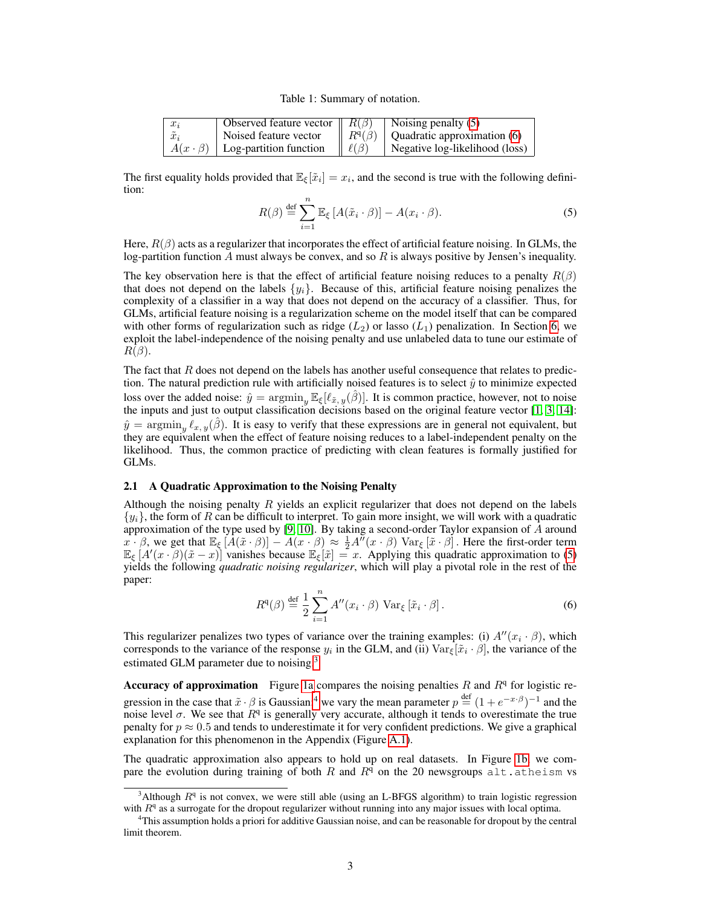Table 1: Summary of notation.

<span id="page-2-0"></span>

| $x_i$         | Observed feature vector $\parallel R(\beta)$ |               | Noising penalty $(5)$          |
|---------------|----------------------------------------------|---------------|--------------------------------|
| $\tilde{x}_i$ | Noised feature vector                        | $R^q(\beta)$  | Quadratic approximation (6)    |
|               | $A(x \cdot \beta)$   Log-partition function  | $\ell(\beta)$ | Negative log-likelihood (loss) |

The first equality holds provided that  $\mathbb{E}_{\xi}[\tilde{x}_i] = x_i$ , and the second is true with the following definition:

<span id="page-2-1"></span>
$$
R(\beta) \stackrel{\text{def}}{=} \sum_{i=1}^{n} \mathbb{E}_{\xi} \left[ A(\tilde{x}_i \cdot \beta) \right] - A(x_i \cdot \beta). \tag{5}
$$

Here,  $R(\beta)$  acts as a regularizer that incorporates the effect of artificial feature noising. In GLMs, the log-partition function A must always be convex, and so  $R$  is always positive by Jensen's inequality.

The key observation here is that the effect of artificial feature noising reduces to a penalty  $R(\beta)$ that does not depend on the labels  $\{y_i\}$ . Because of this, artificial feature noising penalizes the complexity of a classifier in a way that does not depend on the accuracy of a classifier. Thus, for GLMs, artificial feature noising is a regularization scheme on the model itself that can be compared with other forms of regularization such as ridge  $(L_2)$  or lasso  $(L_1)$  penalization. In Section [6,](#page-7-0) we exploit the label-independence of the noising penalty and use unlabeled data to tune our estimate of  $R(\beta)$ .

The fact that  $R$  does not depend on the labels has another useful consequence that relates to prediction. The natural prediction rule with artificially noised features is to select  $\hat{y}$  to minimize expected loss over the added noise:  $\hat{y} = \argmin_y \mathbb{E}_{\xi}[\ell_{\tilde{x}, y}(\hat{\beta})]$ . It is common practice, however, not to noise the inputs and just to output classification decisions based on the original feature vector [\[1,](#page-8-0) [3,](#page-8-10) [14\]](#page-8-13):  $\hat{y} = \argmin_{y} \ell_{x, y}(\hat{\beta})$ . It is easy to verify that these expressions are in general not equivalent, but they are equivalent when the effect of feature noising reduces to a label-independent penalty on the likelihood. Thus, the common practice of predicting with clean features is formally justified for GLMs.

#### 2.1 A Quadratic Approximation to the Noising Penalty

Although the noising penalty  $R$  yields an explicit regularizer that does not depend on the labels  $\{y_i\}$ , the form of R can be difficult to interpret. To gain more insight, we will work with a quadratic approximation of the type used by [\[9,](#page-8-7) [10\]](#page-8-8). By taking a second-order Taylor expansion of A around  $x \cdot \beta$ , we get that  $\mathbb{E}_{\xi} [A(\tilde{x} \cdot \beta)] - A(x \cdot \beta) \approx \frac{1}{2} A''(x \cdot \beta) \text{ Var}_{\xi} [\tilde{x} \cdot \beta]$ . Here the first-order term  $\mathbb{E}_{\xi} [A'(x \cdot \beta)(\tilde{x} - x)]$  vanishes because  $\mathbb{E}_{\xi} [\tilde{x}] = x$ . Applying this quadratic approximation to [\(5\)](#page-2-1) yields the following *quadratic noising regularizer*, which will play a pivotal role in the rest of the paper:

<span id="page-2-2"></span>
$$
R^{q}(\beta) \stackrel{\text{def}}{=} \frac{1}{2} \sum_{i=1}^{n} A''(x_i \cdot \beta) \text{Var}_{\xi} [\tilde{x}_i \cdot \beta]. \tag{6}
$$

This regularizer penalizes two types of variance over the training examples: (i)  $A''(x_i \cdot \beta)$ , which corresponds to the variance of the response  $y_i$  in the GLM, and (ii)  $\text{Var}_{\xi}[\tilde{x}_i \cdot \beta]$ , the variance of the estimated GLM parameter due to noising.<sup>[3](#page-2-3)</sup>

Accuracy of approximation Figure [1a](#page-3-0) compares the noising penalties R and  $R<sup>q</sup>$  for logistic regression in the case that  $\tilde{x} \cdot \beta$  is Gaussian;<sup>[4](#page-2-4)</sup> we vary the mean parameter  $p \stackrel{\text{def}}{=} (1 + e^{-x \cdot \beta})^{-1}$  and the noise level  $\sigma$ . We see that  $R<sup>q</sup>$  is generally very accurate, although it tends to overestimate the true penalty for  $p \approx 0.5$  and tends to underestimate it for very confident predictions. We give a graphical explanation for this phenomenon in the Appendix (Figure [A.1\)](#page-9-0).

The quadratic approximation also appears to hold up on real datasets. In Figure [1b,](#page-3-0) we compare the evolution during training of both  $R$  and  $R<sup>q</sup>$  on the 20 newsgroups alt.atheism vs

<span id="page-2-3"></span><sup>&</sup>lt;sup>3</sup>Although  $R<sup>q</sup>$  is not convex, we were still able (using an L-BFGS algorithm) to train logistic regression with  $R<sup>q</sup>$  as a surrogate for the dropout regularizer without running into any major issues with local optima.

<span id="page-2-4"></span><sup>4</sup>This assumption holds a priori for additive Gaussian noise, and can be reasonable for dropout by the central limit theorem.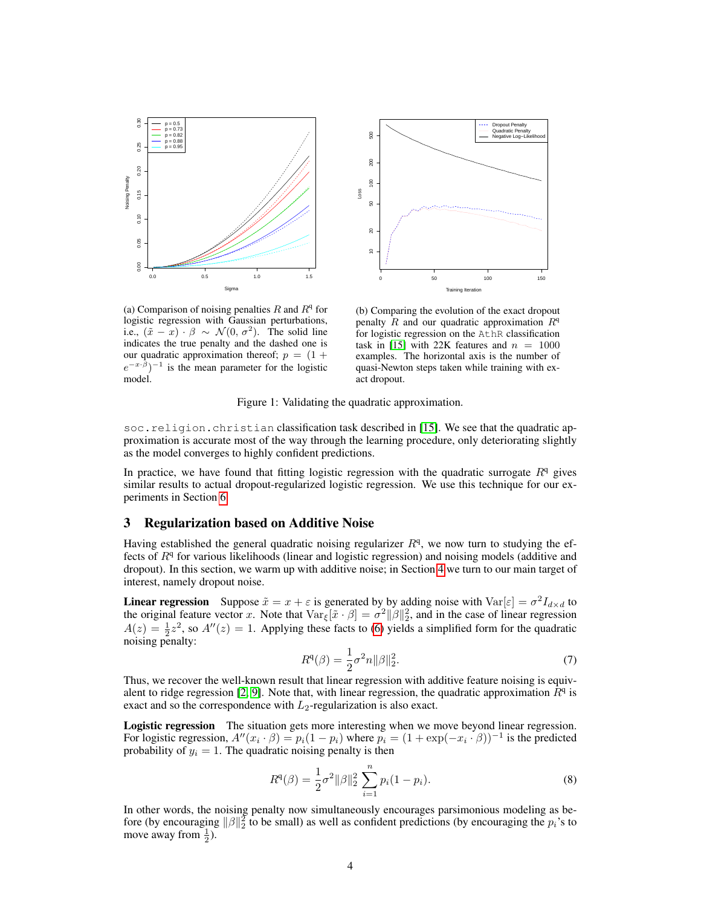<span id="page-3-0"></span>

Dropout Penalty Quadratic Penalty  $500\,$ 10 20 50 100 200 500 Negative Log−Likelihood 200  $\frac{8}{2}$ Loss 8  $\overline{a}$  $\frac{1}{2}$ 0 50 100 150 Training Iteration

(a) Comparison of noising penalties  $R$  and  $R^q$  for logistic regression with Gaussian perturbations, i.e.,  $(\tilde{x} - x) \cdot \beta \sim \mathcal{N}(0, \sigma^2)$ . The solid line indicates the true penalty and the dashed one is our quadratic approximation thereof;  $p = (1 +$  $(e^{-x \cdot \beta})^{-1}$  is the mean parameter for the logistic model.

(b) Comparing the evolution of the exact dropout penalty  $\hat{R}$  and our quadratic approximation  $R^{q}$ for logistic regression on the AthR classification task in [\[15\]](#page-8-14) with 22K features and  $n = 1000$ examples. The horizontal axis is the number of quasi-Newton steps taken while training with exact dropout.

Figure 1: Validating the quadratic approximation.

soc.religion.christian classification task described in [\[15\]](#page-8-14). We see that the quadratic approximation is accurate most of the way through the learning procedure, only deteriorating slightly as the model converges to highly confident predictions.

In practice, we have found that fitting logistic regression with the quadratic surrogate  $R<sup>q</sup>$  gives similar results to actual dropout-regularized logistic regression. We use this technique for our experiments in Section [6.](#page-7-0)

## 3 Regularization based on Additive Noise

Having established the general quadratic noising regularizer  $R<sup>q</sup>$ , we now turn to studying the effects of  $R<sup>q</sup>$  for various likelihoods (linear and logistic regression) and noising models (additive and dropout). In this section, we warm up with additive noise; in Section [4](#page-4-0) we turn to our main target of interest, namely dropout noise.

**Linear regression** Suppose  $\tilde{x} = x + \varepsilon$  is generated by by adding noise with  $\text{Var}[\varepsilon] = \sigma^2 I_{d \times d}$  to the original feature vector x. Note that  $\text{Var}_{\xi}[\tilde{x} \cdot \beta] = \sigma^2 ||\beta||_2^2$ , and in the case of linear regression  $A(z) = \frac{1}{2}z^2$ , so  $A''(z) = 1$ . Applying these facts to [\(6\)](#page-2-2) yields a simplified form for the quadratic noising penalty:

$$
R^{q}(\beta) = \frac{1}{2}\sigma^{2}n\|\beta\|_{2}^{2}.
$$
\n(7)

Thus, we recover the well-known result that linear regression with additive feature noising is equiv-alent to ridge regression [\[2,](#page-8-1) [9\]](#page-8-7). Note that, with linear regression, the quadratic approximation  $\bar{R}^q$  is exact and so the correspondence with  $L_2$ -regularization is also exact.

Logistic regression The situation gets more interesting when we move beyond linear regression. For logistic regression,  $A''(x_i \cdot \beta) = p_i(1 - p_i)$  where  $p_i = (1 + \exp(-x_i \cdot \beta))^{-1}$  is the predicted probability of  $y_i = 1$ . The quadratic noising penalty is then

$$
R^{q}(\beta) = \frac{1}{2}\sigma^{2}||\beta||_{2}^{2} \sum_{i=1}^{n} p_{i}(1-p_{i}).
$$
\n(8)

In other words, the noising penalty now simultaneously encourages parsimonious modeling as before (by encouraging  $\|\beta\|_2^2$  to be small) as well as confident predictions (by encouraging the  $p_i$ 's to move away from  $\frac{1}{2}$ ).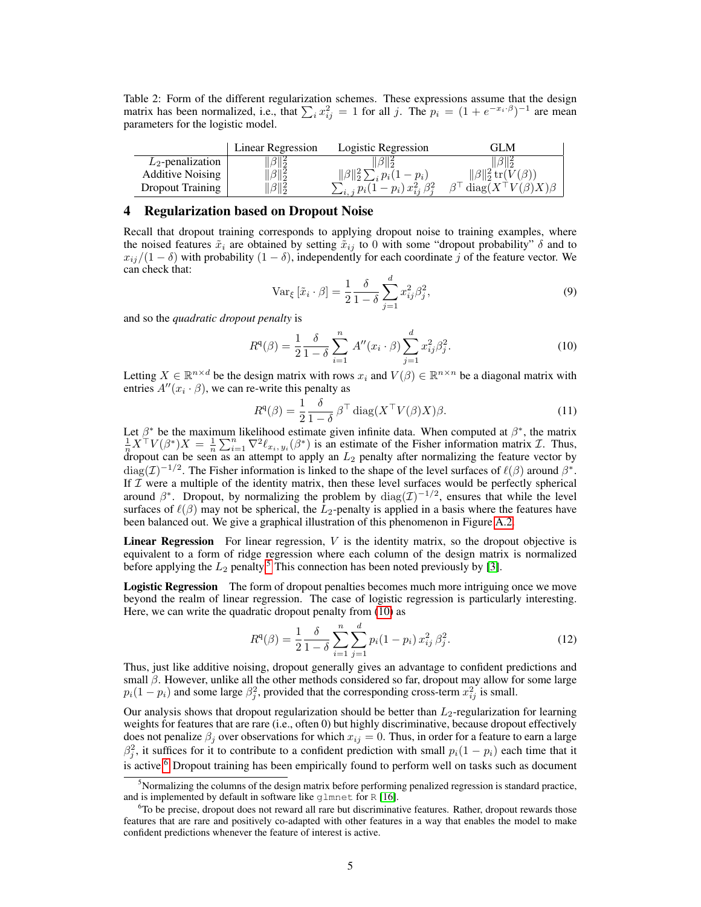<span id="page-4-4"></span>Table 2: Form of the different regularization schemes. These expressions assume that the design matrix has been normalized, i.e., that  $\sum_i x_{ij}^2 = 1$  for all j. The  $p_i = (1 + e^{-x_i \cdot \beta})^{-1}$  are mean parameters for the logistic model.

|                         | Linear Regression | Logistic Regression                         | GLM                                            |
|-------------------------|-------------------|---------------------------------------------|------------------------------------------------|
| $L_2$ -penalization     | $\beta\ _2^2$     |                                             |                                                |
| <b>Additive Noising</b> | $\ \beta\ _2^2$   | $\sum_i p_i(1-p_i)$                         | $\ \beta\ _2^2$ tr $(V(\beta))$                |
| Dropout Training        | $\beta\ _2^2$     | $\sum_{i,j} p_i (1-p_i) x_{ii}^2 \beta_i^2$ | $\beta^{\top}$ diag $(X^{\top}V(\beta)X)\beta$ |

#### <span id="page-4-0"></span>4 Regularization based on Dropout Noise

Recall that dropout training corresponds to applying dropout noise to training examples, where the noised features  $\tilde{x}_i$  are obtained by setting  $\tilde{x}_{ij}$  to 0 with some "dropout probability"  $\delta$  and to  $x_{ij}/(1 - \delta)$  with probability  $(1 - \delta)$ , independently for each coordinate j of the feature vector. We can check that:

$$
\text{Var}_{\xi} \left[ \tilde{x}_i \cdot \beta \right] = \frac{1}{2} \frac{\delta}{1 - \delta} \sum_{j=1}^d x_{ij}^2 \beta_j^2,\tag{9}
$$

and so the *quadratic dropout penalty* is

<span id="page-4-2"></span>
$$
R^{q}(\beta) = \frac{1}{2} \frac{\delta}{1-\delta} \sum_{i=1}^{n} A''(x_i \cdot \beta) \sum_{j=1}^{d} x_{ij}^{2} \beta_j^{2}.
$$
 (10)

Letting  $X \in \mathbb{R}^{n \times d}$  be the design matrix with rows  $x_i$  and  $V(\beta) \in \mathbb{R}^{n \times n}$  be a diagonal matrix with entries  $A''(x_i \cdot \beta)$ , we can re-write this penalty as

<span id="page-4-5"></span>
$$
R^{q}(\beta) = \frac{1}{2} \frac{\delta}{1 - \delta} \beta^{\top} \operatorname{diag}(X^{\top} V(\beta) X) \beta.
$$
 (11)

Let  $\beta^*$  be the maximum likelihood estimate given infinite data. When computed at  $\beta^*$ , the matrix  $\frac{1}{n}X^{\top}V(\beta^*)X = \frac{1}{n}\sum_{i=1}^n \nabla^2 \ell_{x_i, y_i}(\beta^*)$  is an estimate of the Fisher information matrix  $\mathcal{I}$ . Thus dropout can be seen as an attempt to apply an  $L_2$  penalty after normalizing the feature vector by  $\text{diag}(\mathcal{I})^{-1/2}$ . The Fisher information is linked to the shape of the level surfaces of  $\ell(\beta)$  around  $\beta^*$ . If  $\overline{I}$  were a multiple of the identity matrix, then these level surfaces would be perfectly spherical around  $\beta^*$ . Dropout, by normalizing the problem by  $\text{diag}(\mathcal{I})^{-1/2}$ , ensures that while the level surfaces of  $\ell(\beta)$  may not be spherical, the  $\bar{L}_2$ -penalty is applied in a basis where the features have been balanced out. We give a graphical illustration of this phenomenon in Figure [A.2.](#page-10-0)

**Linear Regression** For linear regression,  $V$  is the identity matrix, so the dropout objective is equivalent to a form of ridge regression where each column of the design matrix is normalized before applying the  $L_2$  penalty.<sup>[5](#page-4-1)</sup> This connection has been noted previously by [\[3\]](#page-8-10).

Logistic Regression The form of dropout penalties becomes much more intriguing once we move beyond the realm of linear regression. The case of logistic regression is particularly interesting. Here, we can write the quadratic dropout penalty from [\(10\)](#page-4-2) as

$$
R^{q}(\beta) = \frac{1}{2} \frac{\delta}{1-\delta} \sum_{i=1}^{n} \sum_{j=1}^{d} p_{i} (1-p_{i}) x_{ij}^{2} \beta_{j}^{2}.
$$
 (12)

Thus, just like additive noising, dropout generally gives an advantage to confident predictions and small  $\beta$ . However, unlike all the other methods considered so far, dropout may allow for some large  $p_i(1-p_i)$  and some large  $\beta_j^2$ , provided that the corresponding cross-term  $x_{ij}^2$  is small.

Our analysis shows that dropout regularization should be better than  $L_2$ -regularization for learning weights for features that are rare (i.e., often 0) but highly discriminative, because dropout effectively does not penalize  $\beta_j$  over observations for which  $x_{ij} = 0$ . Thus, in order for a feature to earn a large  $\beta_j^2$ , it suffices for it to contribute to a confident prediction with small  $p_i(1 - p_i)$  each time that it is active.<sup>[6](#page-4-3)</sup> Dropout training has been empirically found to perform well on tasks such as document

<span id="page-4-1"></span> $<sup>5</sup>$ Normalizing the columns of the design matrix before performing penalized regression is standard practice,</sup> and is implemented by default in software like glmnet for R [\[16\]](#page-8-15).

<span id="page-4-3"></span><sup>&</sup>lt;sup>6</sup>To be precise, dropout does not reward all rare but discriminative features. Rather, dropout rewards those features that are rare and positively co-adapted with other features in a way that enables the model to make confident predictions whenever the feature of interest is active.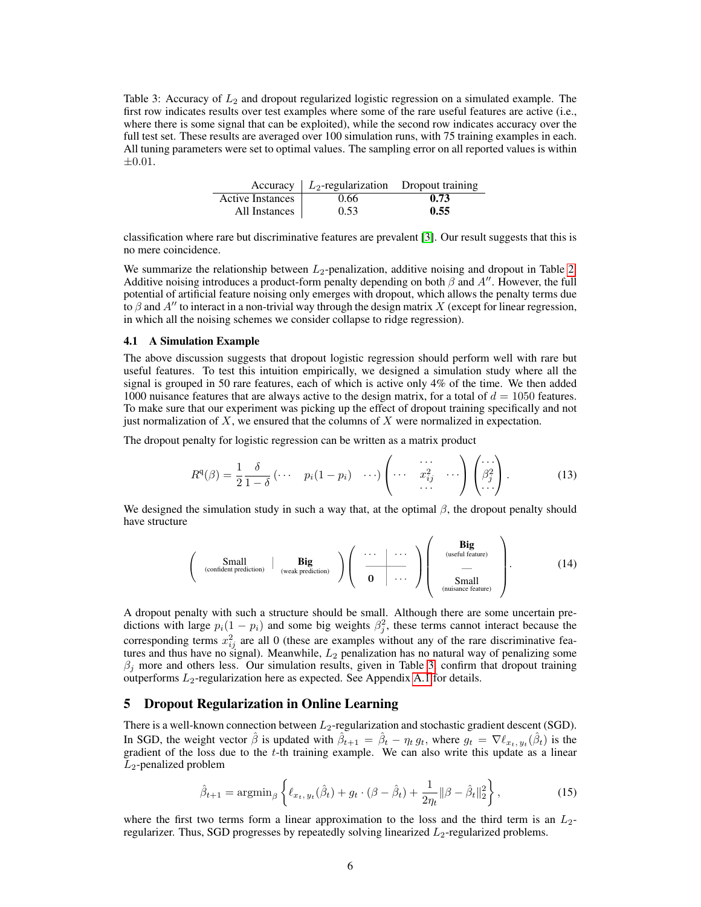<span id="page-5-0"></span>Table 3: Accuracy of  $L_2$  and dropout regularized logistic regression on a simulated example. The first row indicates results over test examples where some of the rare useful features are active (i.e., where there is some signal that can be exploited), while the second row indicates accuracy over the full test set. These results are averaged over 100 simulation runs, with 75 training examples in each. All tuning parameters were set to optimal values. The sampling error on all reported values is within ±0.01.

|                         | Accuracy $\mid$ $L_2$ -regularization Dropout training |      |
|-------------------------|--------------------------------------------------------|------|
| <b>Active Instances</b> | 0.66                                                   | 0.73 |
| All Instances           | 0.53                                                   | 0.55 |

classification where rare but discriminative features are prevalent [\[3\]](#page-8-10). Our result suggests that this is no mere coincidence.

We summarize the relationship between  $L_2$ -penalization, additive noising and dropout in Table [2.](#page-4-4) Additive noising introduces a product-form penalty depending on both  $\beta$  and  $A''$ . However, the full potential of artificial feature noising only emerges with dropout, which allows the penalty terms due to  $\beta$  and  $A''$  to interact in a non-trivial way through the design matrix X (except for linear regression, in which all the noising schemes we consider collapse to ridge regression).

#### <span id="page-5-2"></span>4.1 A Simulation Example

The above discussion suggests that dropout logistic regression should perform well with rare but useful features. To test this intuition empirically, we designed a simulation study where all the signal is grouped in 50 rare features, each of which is active only 4% of the time. We then added 1000 nuisance features that are always active to the design matrix, for a total of  $d = 1050$  features. To make sure that our experiment was picking up the effect of dropout training specifically and not just normalization of  $X$ , we ensured that the columns of  $X$  were normalized in expectation.

The dropout penalty for logistic regression can be written as a matrix product

$$
R^{q}(\beta) = \frac{1}{2} \frac{\delta}{1-\delta} \begin{pmatrix} \cdots & p_{i}(1-p_{i}) & \cdots \end{pmatrix} \begin{pmatrix} \cdots & \cdots & \cdots \\ \cdots & x_{ij}^{2} & \cdots \end{pmatrix} \begin{pmatrix} \cdots \\ \beta_{j}^{2} \\ \cdots \end{pmatrix} . \tag{13}
$$

We designed the simulation study in such a way that, at the optimal  $\beta$ , the dropout penalty should have structure

$$
\left(\begin{array}{c|c} Small & big \\ \text{confident prediction} & (weak prediction) \end{array}\right) \left(\begin{array}{c|c} \cdots & \cdots \\ \hline 0 & \cdots \end{array}\right) \left(\begin{array}{c|c} \text{Big} & & \text{Big} \\ \hline \cdots & \text{useful feature)} \\ - & \text{Small} \\ \text{(nuisance feature)} \\ \hline \end{array}\right). \tag{14}
$$

A dropout penalty with such a structure should be small. Although there are some uncertain predictions with large  $p_i(1 - p_i)$  and some big weights  $\beta_j^2$ , these terms cannot interact because the corresponding terms  $x_{ij}^2$  are all 0 (these are examples without any of the rare discriminative features and thus have no signal). Meanwhile,  $L_2$  penalization has no natural way of penalizing some  $\beta_i$  more and others less. Our simulation results, given in Table [3,](#page-5-0) confirm that dropout training outperforms  $L_2$ -regularization here as expected. See Appendix [A.1](#page-9-1) for details.

# 5 Dropout Regularization in Online Learning

There is a well-known connection between  $L_2$ -regularization and stochastic gradient descent (SGD). In SGD, the weight vector  $\hat{\beta}$  is updated with  $\hat{\beta}_{t+1} = \hat{\beta}_t - \eta_t g_t$ , where  $g_t = \nabla \ell_{x_t, y_t}(\hat{\beta}_t)$  is the gradient of the loss due to the  $t$ -th training example. We can also write this update as a linear  $L_2$ -penalized problem

<span id="page-5-1"></span>
$$
\hat{\beta}_{t+1} = \operatorname{argmin}_{\beta} \left\{ \ell_{x_t, y_t}(\hat{\beta}_t) + g_t \cdot (\beta - \hat{\beta}_t) + \frac{1}{2\eta_t} \|\beta - \hat{\beta}_t\|_2^2 \right\},\tag{15}
$$

where the first two terms form a linear approximation to the loss and the third term is an  $L_2$ regularizer. Thus, SGD progresses by repeatedly solving linearized  $L_2$ -regularized problems.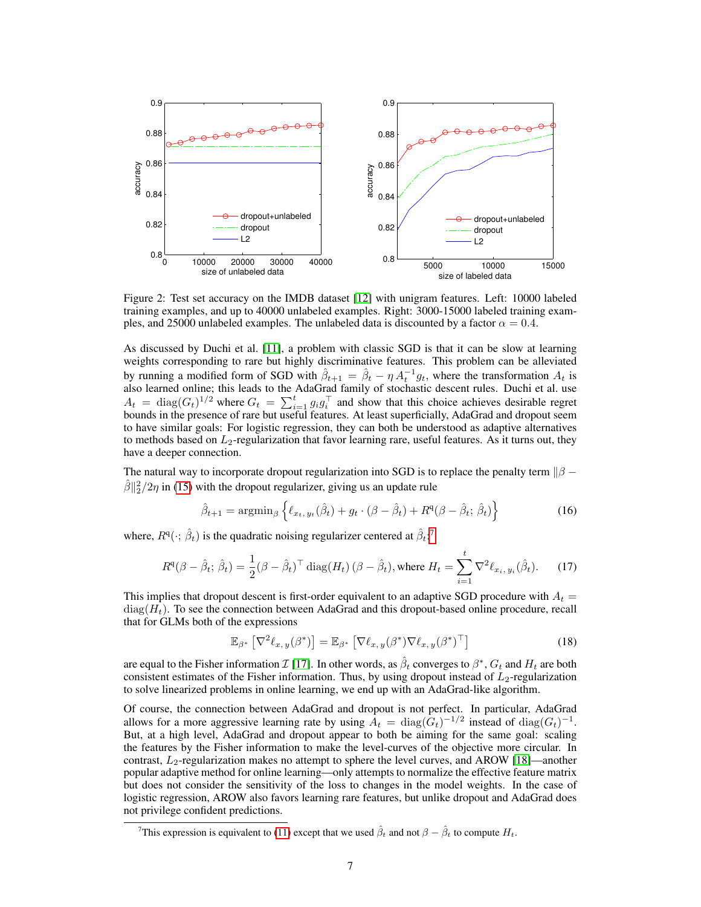<span id="page-6-1"></span>

Figure 2: Test set accuracy on the IMDB dataset [\[12\]](#page-8-11) with unigram features. Left: 10000 labeled training examples, and up to 40000 unlabeled examples. Right: 3000-15000 labeled training examples, and 25000 unlabeled examples. The unlabeled data is discounted by a factor  $\alpha = 0.4$ .

As discussed by Duchi et al. [\[11\]](#page-8-9), a problem with classic SGD is that it can be slow at learning weights corresponding to rare but highly discriminative features. This problem can be alleviated by running a modified form of SGD with  $\hat{\beta}_{t+1} = \hat{\beta}_t - \eta A_t^{-1} g_t$ , where the transformation  $A_t$  is also learned online; this leads to the AdaGrad family of stochastic descent rules. Duchi et al. use  $A_t = \text{diag}(G_t)^{1/2}$  where  $G_t = \sum_{i=1}^t g_i g_i^\top$  and show that this choice achieves desirable regret bounds in the presence of rare but useful features. At least superficially, AdaGrad and dropout seem to have similar goals: For logistic regression, they can both be understood as adaptive alternatives to methods based on  $L_2$ -regularization that favor learning rare, useful features. As it turns out, they have a deeper connection.

The natural way to incorporate dropout regularization into SGD is to replace the penalty term  $\frac{1}{6}$  –  $\hat{\beta}$ || $\frac{2}{2}$ /2 $\eta$  in [\(15\)](#page-5-1) with the dropout regularizer, giving us an update rule

$$
\hat{\beta}_{t+1} = \operatorname{argmin}_{\beta} \left\{ \ell_{x_t, y_t}(\hat{\beta}_t) + g_t \cdot (\beta - \hat{\beta}_t) + R^q (\beta - \hat{\beta}_t; \hat{\beta}_t) \right\}
$$
(16)

where,  $R^q(\cdot; \hat{\beta}_t)$  is the quadratic noising regularizer centered at  $\hat{\beta}_t$ .<sup>[7](#page-6-0)</sup>

$$
R^{q}(\beta - \hat{\beta}_{t}; \hat{\beta}_{t}) = \frac{1}{2}(\beta - \hat{\beta}_{t})^{\top} \operatorname{diag}(H_{t})\left(\beta - \hat{\beta}_{t}\right), \text{where } H_{t} = \sum_{i=1}^{t} \nabla^{2} \ell_{x_{i}, y_{i}}(\hat{\beta}_{t}). \tag{17}
$$

This implies that dropout descent is first-order equivalent to an adaptive SGD procedure with  $A_t =$  $diag(H_t)$ . To see the connection between AdaGrad and this dropout-based online procedure, recall that for GLMs both of the expressions

$$
\mathbb{E}_{\beta^*} \left[ \nabla^2 \ell_{x, y}(\beta^*) \right] = \mathbb{E}_{\beta^*} \left[ \nabla \ell_{x, y}(\beta^*) \nabla \ell_{x, y}(\beta^*)^\top \right] \tag{18}
$$

are equal to the Fisher information  $\mathcal{I}$  [\[17\]](#page-8-16). In other words, as  $\hat{\beta}_t$  converges to  $\beta^*$ ,  $G_t$  and  $H_t$  are both consistent estimates of the Fisher information. Thus, by using dropout instead of  $L_2$ -regularization to solve linearized problems in online learning, we end up with an AdaGrad-like algorithm.

Of course, the connection between AdaGrad and dropout is not perfect. In particular, AdaGrad allows for a more aggressive learning rate by using  $A_t = \text{diag}(G_t)^{-1/2}$  instead of  $\text{diag}(G_t)^{-1}$ . But, at a high level, AdaGrad and dropout appear to both be aiming for the same goal: scaling the features by the Fisher information to make the level-curves of the objective more circular. In contrast,  $L_2$ -regularization makes no attempt to sphere the level curves, and AROW [\[18\]](#page-8-17)—another popular adaptive method for online learning—only attempts to normalize the effective feature matrix but does not consider the sensitivity of the loss to changes in the model weights. In the case of logistic regression, AROW also favors learning rare features, but unlike dropout and AdaGrad does not privilege confident predictions.

<span id="page-6-0"></span><sup>&</sup>lt;sup>7</sup>This expression is equivalent to [\(11\)](#page-4-5) except that we used  $\hat{\beta}_t$  and not  $\beta - \hat{\beta}_t$  to compute  $H_t$ .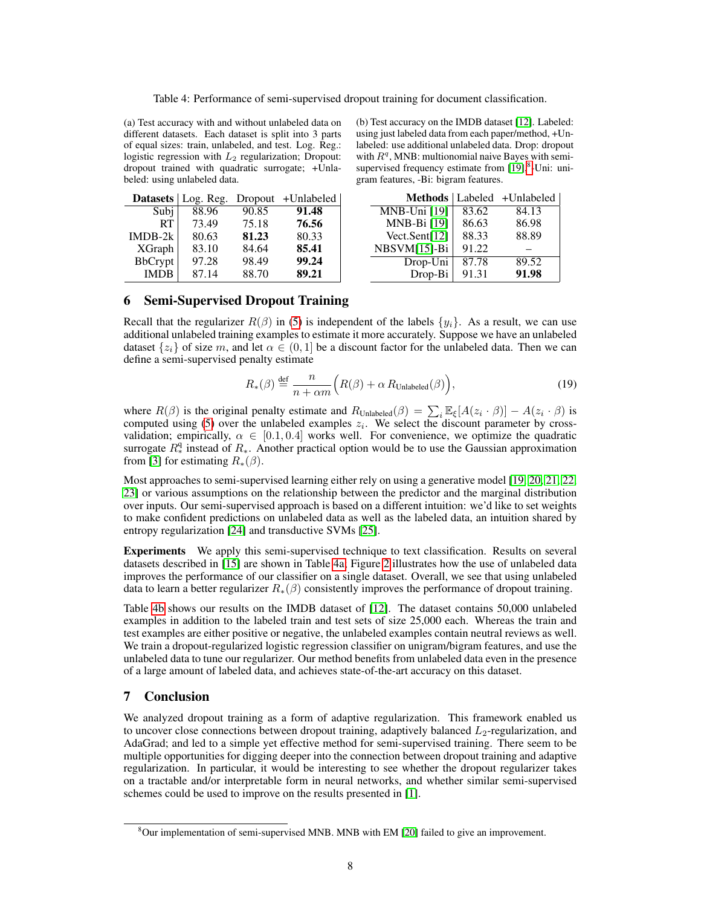<span id="page-7-2"></span>Table 4: Performance of semi-supervised dropout training for document classification.

(a) Test accuracy with and without unlabeled data on different datasets. Each dataset is split into 3 parts of equal sizes: train, unlabeled, and test. Log. Reg.: logistic regression with  $L_2$  regularization; Dropout: dropout trained with quadratic surrogate; +Unlabeled: using unlabeled data.

|                | Datasets   Log. Reg. |       | Dropout +Unlabeled |
|----------------|----------------------|-------|--------------------|
| Subj           | 88.96                | 90.85 | 91.48              |
| RT             | 73.49                | 75.18 | 76.56              |
| $IMDB-2k$      | 80.63                | 81.23 | 80.33              |
| <b>XGraph</b>  | 83.10                | 84.64 | 85.41              |
| <b>BbCrypt</b> | 97.28                | 98.49 | 99.24              |
| <b>IMDB</b>    | 87.14                | 88.70 | 89.21              |

(b) Test accuracy on the IMDB dataset [\[12\]](#page-8-11). Labeled: using just labeled data from each paper/method, +Unlabeled: use additional unlabeled data. Drop: dropout with  $R<sup>q</sup>$ , MNB: multionomial naive Bayes with semisupervised frequency estimate from  $[19]$ ,<sup>[8](#page-7-1)</sup>-Uni: unigram features, -Bi: bigram features.

|                  |       | Methods   Labeled + Unlabeled |
|------------------|-------|-------------------------------|
| MNB-Uni [19]     | 83.62 | 84.13                         |
| MNB-Bi [19]      | 86.63 | 86.98                         |
| Vect.Sent $[12]$ | 88.33 | 88.89                         |
| NBSVM[15]-Bi     | 91.22 |                               |
| Drop-Uni         | 87.78 | 89.52                         |
| Drop-Bi          | 91.31 | 91.98                         |

# <span id="page-7-0"></span>6 Semi-Supervised Dropout Training

Recall that the regularizer  $R(\beta)$  in [\(5\)](#page-2-1) is independent of the labels  $\{y_i\}$ . As a result, we can use additional unlabeled training examples to estimate it more accurately. Suppose we have an unlabeled dataset  $\{z_i\}$  of size m, and let  $\alpha \in (0,1]$  be a discount factor for the unlabeled data. Then we can define a semi-supervised penalty estimate

$$
R_*(\beta) \stackrel{\text{def}}{=} \frac{n}{n + \alpha m} \Big( R(\beta) + \alpha \, R_{\text{Unlabeled}}(\beta) \Big), \tag{19}
$$

where  $R(\beta)$  is the original penalty estimate and  $R_{\text{Unlabeled}}(\beta) = \sum_i \mathbb{E}_{\xi}[A(z_i \cdot \beta)] - A(z_i \cdot \beta)$  is computed using [\(5\)](#page-2-1) over the unlabeled examples  $z_i$ . We select the discount parameter by crossvalidation; empirically,  $\alpha \in [0.1, 0.4]$  works well. For convenience, we optimize the quadratic surrogate  $R_*^q$  instead of  $R_*$ . Another practical option would be to use the Gaussian approximation from [\[3\]](#page-8-10) for estimating  $R_*(\beta)$ .

Most approaches to semi-supervised learning either rely on using a generative model [\[19,](#page-8-18) [20,](#page-8-19) [21,](#page-8-20) [22,](#page-8-21) [23\]](#page-8-22) or various assumptions on the relationship between the predictor and the marginal distribution over inputs. Our semi-supervised approach is based on a different intuition: we'd like to set weights to make confident predictions on unlabeled data as well as the labeled data, an intuition shared by entropy regularization [\[24\]](#page-8-23) and transductive SVMs [\[25\]](#page-8-24).

Experiments We apply this semi-supervised technique to text classification. Results on several datasets described in [\[15\]](#page-8-14) are shown in Table [4a;](#page-7-2) Figure [2](#page-6-1) illustrates how the use of unlabeled data improves the performance of our classifier on a single dataset. Overall, we see that using unlabeled data to learn a better regularizer  $R_*(\beta)$  consistently improves the performance of dropout training.

Table [4b](#page-7-2) shows our results on the IMDB dataset of [\[12\]](#page-8-11). The dataset contains 50,000 unlabeled examples in addition to the labeled train and test sets of size 25,000 each. Whereas the train and test examples are either positive or negative, the unlabeled examples contain neutral reviews as well. We train a dropout-regularized logistic regression classifier on unigram/bigram features, and use the unlabeled data to tune our regularizer. Our method benefits from unlabeled data even in the presence of a large amount of labeled data, and achieves state-of-the-art accuracy on this dataset.

# 7 Conclusion

We analyzed dropout training as a form of adaptive regularization. This framework enabled us to uncover close connections between dropout training, adaptively balanced  $L_2$ -regularization, and AdaGrad; and led to a simple yet effective method for semi-supervised training. There seem to be multiple opportunities for digging deeper into the connection between dropout training and adaptive regularization. In particular, it would be interesting to see whether the dropout regularizer takes on a tractable and/or interpretable form in neural networks, and whether similar semi-supervised schemes could be used to improve on the results presented in [\[1\]](#page-8-0).

<span id="page-7-1"></span> $8$ Our implementation of semi-supervised MNB. MNB with EM [\[20\]](#page-8-19) failed to give an improvement.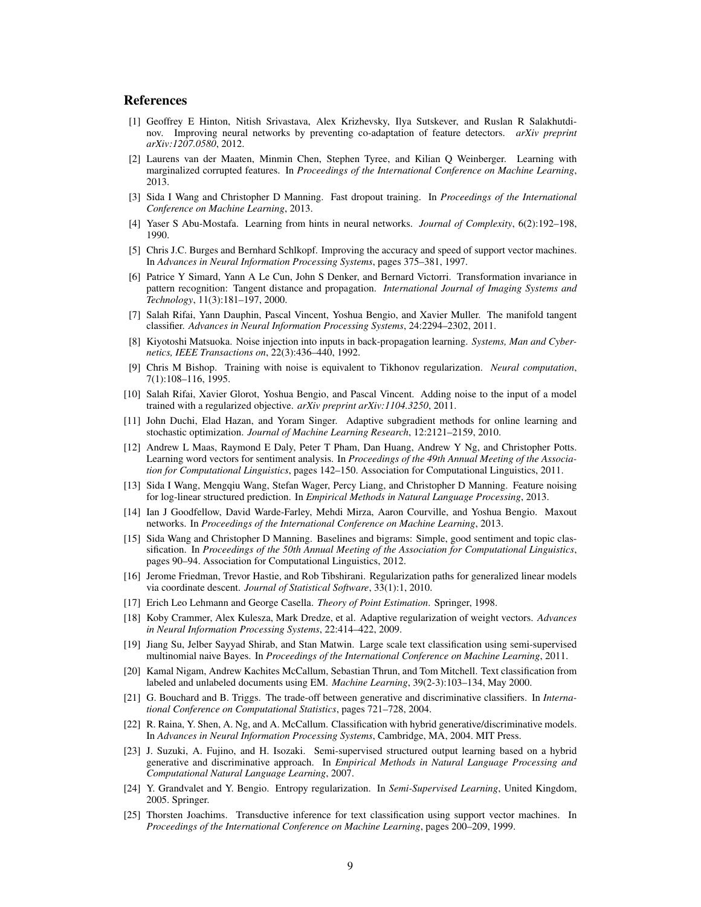## References

- <span id="page-8-0"></span>[1] Geoffrey E Hinton, Nitish Srivastava, Alex Krizhevsky, Ilya Sutskever, and Ruslan R Salakhutdinov. Improving neural networks by preventing co-adaptation of feature detectors. *arXiv preprint arXiv:1207.0580*, 2012.
- <span id="page-8-1"></span>[2] Laurens van der Maaten, Minmin Chen, Stephen Tyree, and Kilian Q Weinberger. Learning with marginalized corrupted features. In *Proceedings of the International Conference on Machine Learning*, 2013.
- <span id="page-8-10"></span>[3] Sida I Wang and Christopher D Manning. Fast dropout training. In *Proceedings of the International Conference on Machine Learning*, 2013.
- <span id="page-8-2"></span>[4] Yaser S Abu-Mostafa. Learning from hints in neural networks. *Journal of Complexity*, 6(2):192–198, 1990.
- <span id="page-8-3"></span>[5] Chris J.C. Burges and Bernhard Schlkopf. Improving the accuracy and speed of support vector machines. In *Advances in Neural Information Processing Systems*, pages 375–381, 1997.
- <span id="page-8-4"></span>[6] Patrice Y Simard, Yann A Le Cun, John S Denker, and Bernard Victorri. Transformation invariance in pattern recognition: Tangent distance and propagation. *International Journal of Imaging Systems and Technology*, 11(3):181–197, 2000.
- <span id="page-8-5"></span>[7] Salah Rifai, Yann Dauphin, Pascal Vincent, Yoshua Bengio, and Xavier Muller. The manifold tangent classifier. *Advances in Neural Information Processing Systems*, 24:2294–2302, 2011.
- <span id="page-8-6"></span>[8] Kiyotoshi Matsuoka. Noise injection into inputs in back-propagation learning. *Systems, Man and Cybernetics, IEEE Transactions on*, 22(3):436–440, 1992.
- <span id="page-8-7"></span>[9] Chris M Bishop. Training with noise is equivalent to Tikhonov regularization. *Neural computation*, 7(1):108–116, 1995.
- <span id="page-8-8"></span>[10] Salah Rifai, Xavier Glorot, Yoshua Bengio, and Pascal Vincent. Adding noise to the input of a model trained with a regularized objective. *arXiv preprint arXiv:1104.3250*, 2011.
- <span id="page-8-9"></span>[11] John Duchi, Elad Hazan, and Yoram Singer. Adaptive subgradient methods for online learning and stochastic optimization. *Journal of Machine Learning Research*, 12:2121–2159, 2010.
- <span id="page-8-11"></span>[12] Andrew L Maas, Raymond E Daly, Peter T Pham, Dan Huang, Andrew Y Ng, and Christopher Potts. Learning word vectors for sentiment analysis. In *Proceedings of the 49th Annual Meeting of the Association for Computational Linguistics*, pages 142–150. Association for Computational Linguistics, 2011.
- <span id="page-8-12"></span>[13] Sida I Wang, Mengqiu Wang, Stefan Wager, Percy Liang, and Christopher D Manning. Feature noising for log-linear structured prediction. In *Empirical Methods in Natural Language Processing*, 2013.
- <span id="page-8-13"></span>[14] Ian J Goodfellow, David Warde-Farley, Mehdi Mirza, Aaron Courville, and Yoshua Bengio. Maxout networks. In *Proceedings of the International Conference on Machine Learning*, 2013.
- <span id="page-8-14"></span>[15] Sida Wang and Christopher D Manning. Baselines and bigrams: Simple, good sentiment and topic classification. In *Proceedings of the 50th Annual Meeting of the Association for Computational Linguistics*, pages 90–94. Association for Computational Linguistics, 2012.
- <span id="page-8-15"></span>[16] Jerome Friedman, Trevor Hastie, and Rob Tibshirani. Regularization paths for generalized linear models via coordinate descent. *Journal of Statistical Software*, 33(1):1, 2010.
- <span id="page-8-16"></span>[17] Erich Leo Lehmann and George Casella. *Theory of Point Estimation*. Springer, 1998.
- <span id="page-8-17"></span>[18] Koby Crammer, Alex Kulesza, Mark Dredze, et al. Adaptive regularization of weight vectors. *Advances in Neural Information Processing Systems*, 22:414–422, 2009.
- <span id="page-8-18"></span>[19] Jiang Su, Jelber Sayyad Shirab, and Stan Matwin. Large scale text classification using semi-supervised multinomial naive Bayes. In *Proceedings of the International Conference on Machine Learning*, 2011.
- <span id="page-8-19"></span>[20] Kamal Nigam, Andrew Kachites McCallum, Sebastian Thrun, and Tom Mitchell. Text classification from labeled and unlabeled documents using EM. *Machine Learning*, 39(2-3):103–134, May 2000.
- <span id="page-8-20"></span>[21] G. Bouchard and B. Triggs. The trade-off between generative and discriminative classifiers. In *International Conference on Computational Statistics*, pages 721–728, 2004.
- <span id="page-8-21"></span>[22] R. Raina, Y. Shen, A. Ng, and A. McCallum. Classification with hybrid generative/discriminative models. In *Advances in Neural Information Processing Systems*, Cambridge, MA, 2004. MIT Press.
- <span id="page-8-22"></span>[23] J. Suzuki, A. Fujino, and H. Isozaki. Semi-supervised structured output learning based on a hybrid generative and discriminative approach. In *Empirical Methods in Natural Language Processing and Computational Natural Language Learning*, 2007.
- <span id="page-8-23"></span>[24] Y. Grandvalet and Y. Bengio. Entropy regularization. In *Semi-Supervised Learning*, United Kingdom, 2005. Springer.
- <span id="page-8-24"></span>[25] Thorsten Joachims. Transductive inference for text classification using support vector machines. In *Proceedings of the International Conference on Machine Learning*, pages 200–209, 1999.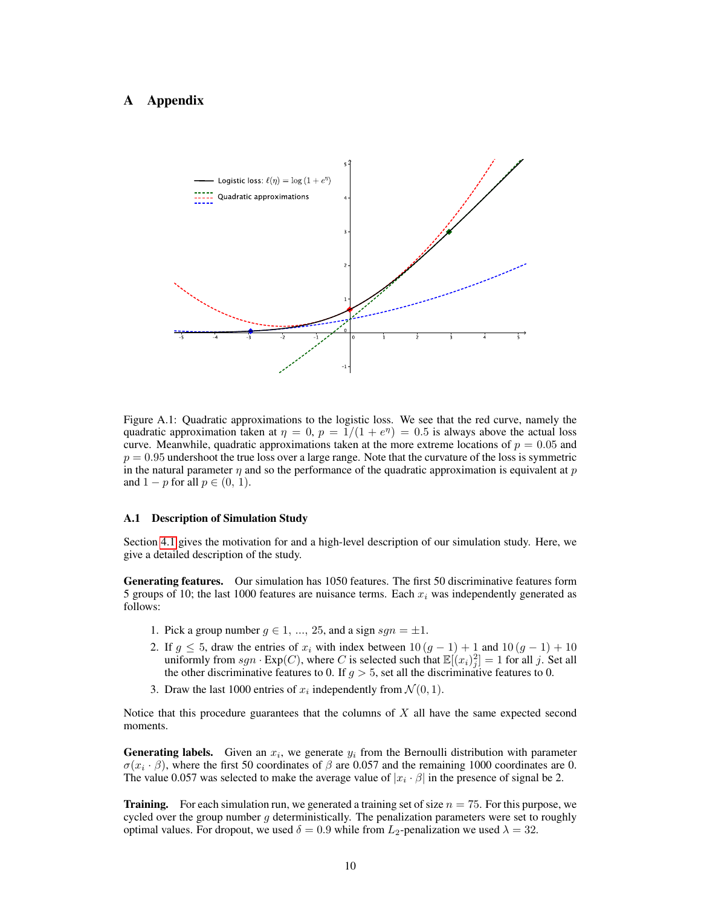# <span id="page-9-0"></span>A Appendix



Figure A.1: Quadratic approximations to the logistic loss. We see that the red curve, namely the quadratic approximation taken at  $\eta = 0$ ,  $p = 1/(1 + e^{\eta}) = 0.5$  is always above the actual loss curve. Meanwhile, quadratic approximations taken at the more extreme locations of  $p = 0.05$  and  $p = 0.95$  undershoot the true loss over a large range. Note that the curvature of the loss is symmetric in the natural parameter  $\eta$  and so the performance of the quadratic approximation is equivalent at p and  $1 - p$  for all  $p \in (0, 1)$ .

#### <span id="page-9-1"></span>A.1 Description of Simulation Study

Section [4.1](#page-5-2) gives the motivation for and a high-level description of our simulation study. Here, we give a detailed description of the study.

Generating features. Our simulation has 1050 features. The first 50 discriminative features form 5 groups of 10; the last 1000 features are nuisance terms. Each  $x_i$  was independently generated as follows:

- 1. Pick a group number  $g \in 1, ..., 25$ , and a sign  $sgn = \pm 1$ .
- 2. If  $g \le 5$ , draw the entries of  $x_i$  with index between  $10(g 1) + 1$  and  $10(g 1) + 10$ uniformly from  $sgn \cdot \text{Exp}(C)$ , where C is selected such that  $\mathbb{E}[(x_i)_j^2] = 1$  for all j. Set all the other discriminative features to 0. If  $g > 5$ , set all the discriminative features to 0.
- 3. Draw the last 1000 entries of  $x_i$  independently from  $\mathcal{N}(0, 1)$ .

Notice that this procedure guarantees that the columns of  $X$  all have the same expected second moments.

**Generating labels.** Given an  $x_i$ , we generate  $y_i$  from the Bernoulli distribution with parameter  $\sigma(x_i \cdot \beta)$ , where the first 50 coordinates of  $\beta$  are 0.057 and the remaining 1000 coordinates are 0. The value 0.057 was selected to make the average value of  $|x_i \cdot \beta|$  in the presence of signal be 2.

**Training.** For each simulation run, we generated a training set of size  $n = 75$ . For this purpose, we cycled over the group number  $g$  deterministically. The penalization parameters were set to roughly optimal values. For dropout, we used  $\delta = 0.9$  while from  $L_2$ -penalization we used  $\lambda = 32$ .